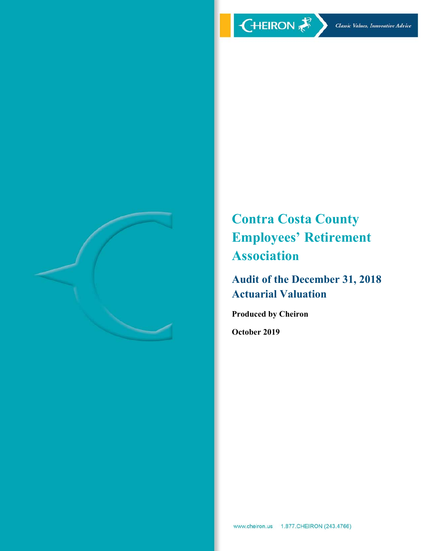

**Contra Costa County Employees' Retirement Association** 

# **Audit of the December 31, 2018 Actuarial Valuation**

**Produced by Cheiron** 

**October 2019**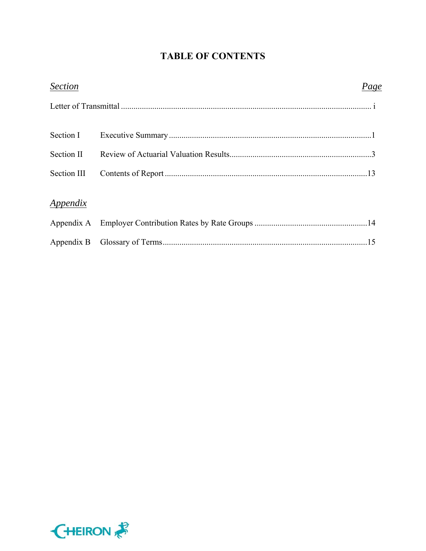# **TABLE OF CONTENTS**

| <b>Section</b> | Page |  |
|----------------|------|--|
|                |      |  |
| Section I      |      |  |
| Section II     |      |  |
| Section III    |      |  |
| Appendix       |      |  |
|                |      |  |
|                |      |  |

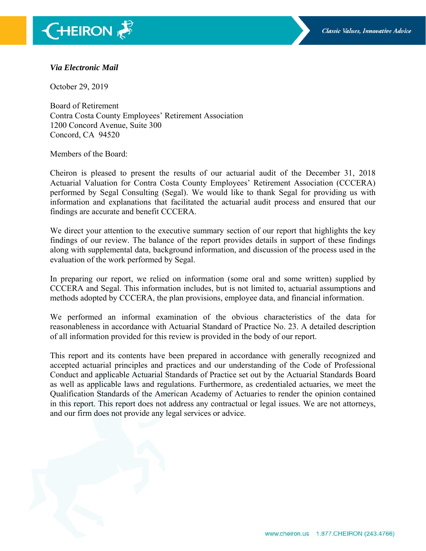

#### *Via Electronic Mail*

October 29, 2019

Board of Retirement Contra Costa County Employees' Retirement Association 1200 Concord Avenue, Suite 300 Concord, CA 94520

Members of the Board:

Cheiron is pleased to present the results of our actuarial audit of the December 31, 2018 Actuarial Valuation for Contra Costa County Employees' Retirement Association (CCCERA) performed by Segal Consulting (Segal). We would like to thank Segal for providing us with information and explanations that facilitated the actuarial audit process and ensured that our findings are accurate and benefit CCCERA.

We direct your attention to the executive summary section of our report that highlights the key findings of our review. The balance of the report provides details in support of these findings along with supplemental data, background information, and discussion of the process used in the evaluation of the work performed by Segal.

In preparing our report, we relied on information (some oral and some written) supplied by CCCERA and Segal. This information includes, but is not limited to, actuarial assumptions and methods adopted by CCCERA, the plan provisions, employee data, and financial information.

We performed an informal examination of the obvious characteristics of the data for reasonableness in accordance with Actuarial Standard of Practice No. 23. A detailed description of all information provided for this review is provided in the body of our report.

This report and its contents have been prepared in accordance with generally recognized and accepted actuarial principles and practices and our understanding of the Code of Professional Conduct and applicable Actuarial Standards of Practice set out by the Actuarial Standards Board as well as applicable laws and regulations. Furthermore, as credentialed actuaries, we meet the Qualification Standards of the American Academy of Actuaries to render the opinion contained in this report. This report does not address any contractual or legal issues. We are not attorneys, and our firm does not provide any legal services or advice.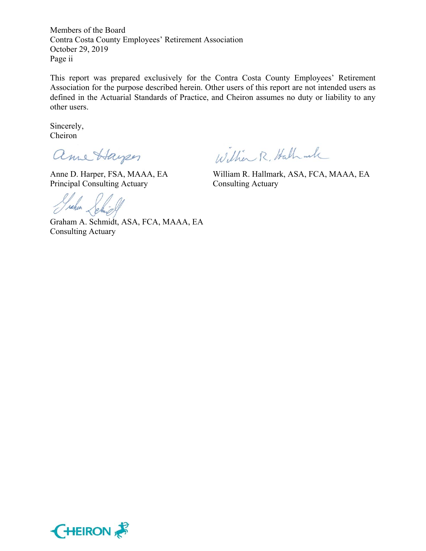Members of the Board Contra Costa County Employees' Retirement Association October 29, 2019 Page ii

This report was prepared exclusively for the Contra Costa County Employees' Retirement Association for the purpose described herein. Other users of this report are not intended users as defined in the Actuarial Standards of Practice, and Cheiron assumes no duty or liability to any other users.

Sincerely, Cheiron

ame Hayen

William R. Halhank

Anne D. Harper, FSA, MAAA, EA William R. Hallmark, ASA, FCA, MAAA, EA

Principal Consulting Actuary Consulting Actuary

rahin

Graham A. Schmidt, ASA, FCA, MAAA, EA Consulting Actuary

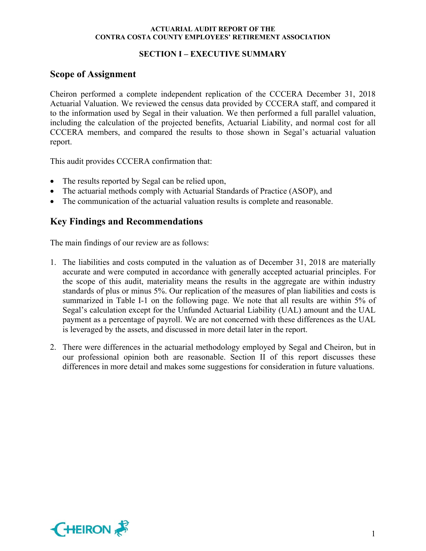### **SECTION I – EXECUTIVE SUMMARY**

## **Scope of Assignment**

Cheiron performed a complete independent replication of the CCCERA December 31, 2018 Actuarial Valuation. We reviewed the census data provided by CCCERA staff, and compared it to the information used by Segal in their valuation. We then performed a full parallel valuation, including the calculation of the projected benefits, Actuarial Liability, and normal cost for all CCCERA members, and compared the results to those shown in Segal's actuarial valuation report.

This audit provides CCCERA confirmation that:

- The results reported by Segal can be relied upon,
- The actuarial methods comply with Actuarial Standards of Practice (ASOP), and
- The communication of the actuarial valuation results is complete and reasonable.

## **Key Findings and Recommendations**

The main findings of our review are as follows:

- 1. The liabilities and costs computed in the valuation as of December 31, 2018 are materially accurate and were computed in accordance with generally accepted actuarial principles. For the scope of this audit, materiality means the results in the aggregate are within industry standards of plus or minus 5%. Our replication of the measures of plan liabilities and costs is summarized in Table I-1 on the following page. We note that all results are within 5% of Segal's calculation except for the Unfunded Actuarial Liability (UAL) amount and the UAL payment as a percentage of payroll. We are not concerned with these differences as the UAL is leveraged by the assets, and discussed in more detail later in the report.
- 2. There were differences in the actuarial methodology employed by Segal and Cheiron, but in our professional opinion both are reasonable. Section II of this report discusses these differences in more detail and makes some suggestions for consideration in future valuations.

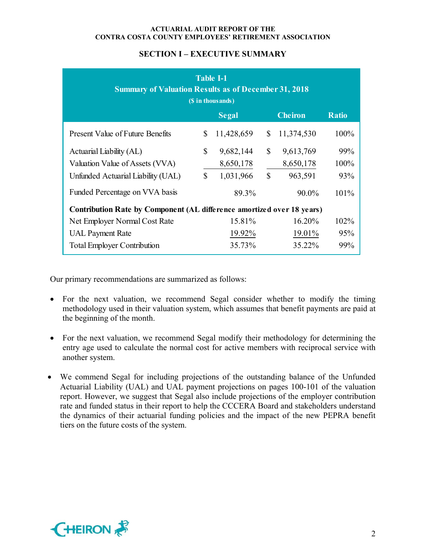### **SECTION I – EXECUTIVE SUMMARY**

| <b>Table I-1</b><br><b>Summary of Valuation Results as of December 31, 2018</b><br>(\$ in thousands) |              |            |              |            |         |  |  |  |
|------------------------------------------------------------------------------------------------------|--------------|------------|--------------|------------|---------|--|--|--|
| <b>Segal</b><br><b>Cheiron</b><br><b>Ratio</b>                                                       |              |            |              |            |         |  |  |  |
| <b>Present Value of Future Benefits</b>                                                              | \$           | 11,428,659 | \$           | 11,374,530 | 100%    |  |  |  |
| Actuarial Liability (AL)                                                                             | \$           | 9,682,144  | $\mathbb{S}$ | 9,613,769  | 99%     |  |  |  |
| Valuation Value of Assets (VVA)                                                                      |              | 8,650,178  |              | 8,650,178  | 100%    |  |  |  |
| Unfunded Actuarial Liability (UAL)                                                                   | $\mathbb{S}$ | 1,031,966  | $\mathbb{S}$ | 963,591    | 93%     |  |  |  |
| Funded Percentage on VVA basis                                                                       |              | 89.3%      |              | 90.0%      | $101\%$ |  |  |  |
| Contribution Rate by Component (AL difference amortized over 18 years)                               |              |            |              |            |         |  |  |  |
| Net Employer Normal Cost Rate                                                                        |              | 15.81%     |              | 16.20%     | 102%    |  |  |  |
| <b>UAL Payment Rate</b>                                                                              |              | 19.92%     |              | 19.01%     | 95%     |  |  |  |
| <b>Total Employer Contribution</b>                                                                   |              | 35.73%     |              | 35.22%     | 99%     |  |  |  |

Our primary recommendations are summarized as follows:

- For the next valuation, we recommend Segal consider whether to modify the timing methodology used in their valuation system, which assumes that benefit payments are paid at the beginning of the month.
- For the next valuation, we recommend Segal modify their methodology for determining the entry age used to calculate the normal cost for active members with reciprocal service with another system.
- We commend Segal for including projections of the outstanding balance of the Unfunded Actuarial Liability (UAL) and UAL payment projections on pages 100-101 of the valuation report. However, we suggest that Segal also include projections of the employer contribution rate and funded status in their report to help the CCCERA Board and stakeholders understand the dynamics of their actuarial funding policies and the impact of the new PEPRA benefit tiers on the future costs of the system.

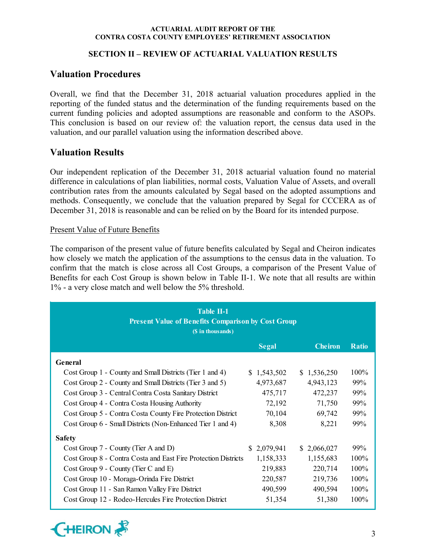### **SECTION II – REVIEW OF ACTUARIAL VALUATION RESULTS**

## **Valuation Procedures**

Overall, we find that the December 31, 2018 actuarial valuation procedures applied in the reporting of the funded status and the determination of the funding requirements based on the current funding policies and adopted assumptions are reasonable and conform to the ASOPs. This conclusion is based on our review of: the valuation report, the census data used in the valuation, and our parallel valuation using the information described above.

## **Valuation Results**

Our independent replication of the December 31, 2018 actuarial valuation found no material difference in calculations of plan liabilities, normal costs, Valuation Value of Assets, and overall contribution rates from the amounts calculated by Segal based on the adopted assumptions and methods. Consequently, we conclude that the valuation prepared by Segal for CCCERA as of December 31, 2018 is reasonable and can be relied on by the Board for its intended purpose.

### Present Value of Future Benefits

The comparison of the present value of future benefits calculated by Segal and Cheiron indicates how closely we match the application of the assumptions to the census data in the valuation. To confirm that the match is close across all Cost Groups, a comparison of the Present Value of Benefits for each Cost Group is shown below in Table II-1. We note that all results are within 1% - a very close match and well below the 5% threshold.

| <b>Table II-1</b><br><b>Present Value of Benefits Comparison by Cost Group</b><br>(\$ in thousands) |              |                |              |  |  |  |  |  |
|-----------------------------------------------------------------------------------------------------|--------------|----------------|--------------|--|--|--|--|--|
|                                                                                                     | <b>Segal</b> | <b>Cheiron</b> | <b>Ratio</b> |  |  |  |  |  |
| General                                                                                             |              |                |              |  |  |  |  |  |
| Cost Group 1 - County and Small Districts (Tier 1 and 4)                                            | \$1,543,502  | \$1,536,250    | 100%         |  |  |  |  |  |
| Cost Group 2 - County and Small Districts (Tier 3 and 5)                                            | 4,973,687    | 4,943,123      | 99%          |  |  |  |  |  |
| Cost Group 3 - Central Contra Costa Sanitary District                                               | 475,717      | 472,237        | 99%          |  |  |  |  |  |
| Cost Group 4 - Contra Costa Housing Authority                                                       | 72,192       | 71,750         | 99%          |  |  |  |  |  |
| Cost Group 5 - Contra Costa County Fire Protection District                                         | 70,104       | 69,742         | 99%          |  |  |  |  |  |
| Cost Group 6 - Small Districts (Non-Enhanced Tier 1 and 4)                                          | 8,308        | 8,221          | 99%          |  |  |  |  |  |
| <b>Safety</b>                                                                                       |              |                |              |  |  |  |  |  |
| Cost Group 7 - County (Tier A and D)                                                                | \$2,079,941  | \$2,066,027    | 99%          |  |  |  |  |  |
| Cost Group 8 - Contra Costa and East Fire Protection Districts                                      | 1,158,333    | 1,155,683      | 100%         |  |  |  |  |  |
| Cost Group $9$ - County (Tier C and E)                                                              | 219,883      | 220,714        | 100%         |  |  |  |  |  |
| Cost Group 10 - Moraga-Orinda Fire District                                                         | 220,587      | 219,736        | 100%         |  |  |  |  |  |
| Cost Group 11 - San Ramon Valley Fire District                                                      | 490,599      | 490,594        | 100%         |  |  |  |  |  |
| Cost Group 12 - Rodeo-Hercules Fire Protection District                                             | 51,354       | 51,380         | 100%         |  |  |  |  |  |

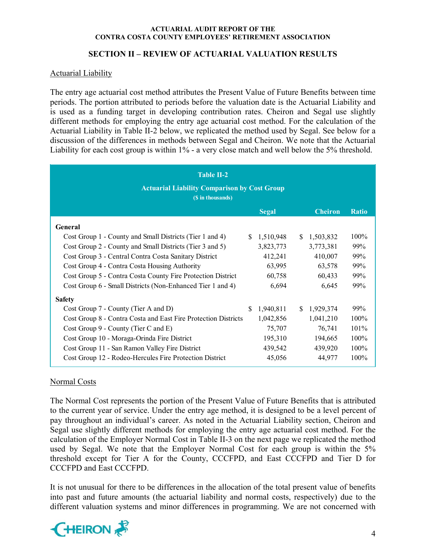### **SECTION II – REVIEW OF ACTUARIAL VALUATION RESULTS**

### Actuarial Liability

The entry age actuarial cost method attributes the Present Value of Future Benefits between time periods. The portion attributed to periods before the valuation date is the Actuarial Liability and is used as a funding target in developing contribution rates. Cheiron and Segal use slightly different methods for employing the entry age actuarial cost method. For the calculation of the Actuarial Liability in Table II-2 below, we replicated the method used by Segal. See below for a discussion of the differences in methods between Segal and Cheiron. We note that the Actuarial Liability for each cost group is within 1% - a very close match and well below the 5% threshold.

| <b>Table II-2</b><br><b>Actuarial Liability Comparison by Cost Group</b><br>(\$ in thousands) |    |              |              |                |              |  |  |  |  |
|-----------------------------------------------------------------------------------------------|----|--------------|--------------|----------------|--------------|--|--|--|--|
|                                                                                               |    | <b>Segal</b> |              | <b>Cheiron</b> | <b>Ratio</b> |  |  |  |  |
| General                                                                                       |    |              |              |                |              |  |  |  |  |
| Cost Group 1 - County and Small Districts (Tier 1 and 4)                                      |    | \$1,510,948  | <sup>S</sup> | 1,503,832      | 100%         |  |  |  |  |
| Cost Group 2 - County and Small Districts (Tier 3 and 5)                                      |    | 3,823,773    |              | 3,773,381      | 99%          |  |  |  |  |
| Cost Group 3 - Central Contra Costa Sanitary District                                         |    | 412,241      |              | 410,007        | 99%          |  |  |  |  |
| Cost Group 4 - Contra Costa Housing Authority                                                 |    | 63,995       |              | 63,578         | 99%          |  |  |  |  |
| Cost Group 5 - Contra Costa County Fire Protection District                                   |    | 60,758       |              | 60,433         | 99%          |  |  |  |  |
| Cost Group 6 - Small Districts (Non-Enhanced Tier 1 and 4)                                    |    | 6,694        |              | 6,645          | 99%          |  |  |  |  |
| <b>Safety</b>                                                                                 |    |              |              |                |              |  |  |  |  |
| Cost Group 7 - County (Tier A and D)                                                          | S. | 1,940,811    | <sup>S</sup> | 1,929,374      | 99%          |  |  |  |  |
| Cost Group 8 - Contra Costa and East Fire Protection Districts                                |    | 1,042,856    |              | 1,041,210      | 100%         |  |  |  |  |
| Cost Group 9 - County (Tier C and E)                                                          |    | 75,707       |              | 76,741         | 101%         |  |  |  |  |
| Cost Group 10 - Moraga-Orinda Fire District                                                   |    | 195,310      |              | 194,665        | 100%         |  |  |  |  |
| Cost Group 11 - San Ramon Valley Fire District                                                |    | 439,542      |              | 439,920        | 100%         |  |  |  |  |
| Cost Group 12 - Rodeo-Hercules Fire Protection District                                       |    | 45,056       |              | 44,977         | $100\%$      |  |  |  |  |

#### Normal Costs

The Normal Cost represents the portion of the Present Value of Future Benefits that is attributed to the current year of service. Under the entry age method, it is designed to be a level percent of pay throughout an individual's career. As noted in the Actuarial Liability section, Cheiron and Segal use slightly different methods for employing the entry age actuarial cost method. For the calculation of the Employer Normal Cost in Table II-3 on the next page we replicated the method used by Segal. We note that the Employer Normal Cost for each group is within the 5% threshold except for Tier A for the County, CCCFPD, and East CCCFPD and Tier D for CCCFPD and East CCCFPD.

It is not unusual for there to be differences in the allocation of the total present value of benefits into past and future amounts (the actuarial liability and normal costs, respectively) due to the different valuation systems and minor differences in programming. We are not concerned with

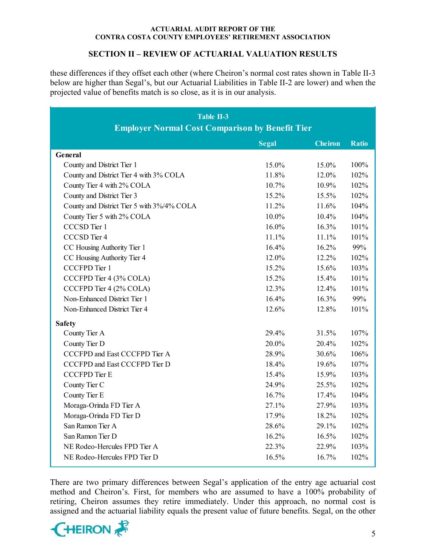#### **SECTION II – REVIEW OF ACTUARIAL VALUATION RESULTS**

these differences if they offset each other (where Cheiron's normal cost rates shown in Table II-3 below are higher than Segal's, but our Actuarial Liabilities in Table II-2 are lower) and when the projected value of benefits match is so close, as it is in our analysis.

| <b>Table II-3</b><br><b>Employer Normal Cost Comparison by Benefit Tier</b> |              |                |              |  |  |  |
|-----------------------------------------------------------------------------|--------------|----------------|--------------|--|--|--|
|                                                                             | <b>Segal</b> | <b>Cheiron</b> | <b>Ratio</b> |  |  |  |
| General                                                                     |              |                |              |  |  |  |
| County and District Tier 1                                                  | 15.0%        | 15.0%          | 100%         |  |  |  |
| County and District Tier 4 with 3% COLA                                     | 11.8%        | $12.0\%$       | 102%         |  |  |  |
| County Tier 4 with 2% COLA                                                  | 10.7%        | 10.9%          | 102%         |  |  |  |
| County and District Tier 3                                                  | 15.2%        | 15.5%          | 102%         |  |  |  |
| County and District Tier 5 with 3%/4% COLA                                  | 11.2%        | 11.6%          | 104%         |  |  |  |
| County Tier 5 with 2% COLA                                                  | 10.0%        | 10.4%          | 104%         |  |  |  |
| CCCSD Tier 1                                                                | 16.0%        | 16.3%          | 101%         |  |  |  |
| <b>CCCSD Tier 4</b>                                                         | 11.1%        | 11.1%          | 101%         |  |  |  |
| CC Housing Authority Tier 1                                                 | 16.4%        | 16.2%          | 99%          |  |  |  |
| CC Housing Authority Tier 4                                                 | 12.0%        | 12.2%          | 102%         |  |  |  |
| <b>CCCFPD Tier 1</b>                                                        | 15.2%        | 15.6%          | 103%         |  |  |  |
| CCCFPD Tier 4 (3% COLA)                                                     | 15.2%        | 15.4%          | 101%         |  |  |  |
| CCCFPD Tier 4 (2% COLA)                                                     | 12.3%        | 12.4%          | 101%         |  |  |  |
| Non-Enhanced District Tier 1                                                | 16.4%        | 16.3%          | 99%          |  |  |  |
| Non-Enhanced District Tier 4                                                | 12.6%        | 12.8%          | 101%         |  |  |  |
| <b>Safety</b>                                                               |              |                |              |  |  |  |
| County Tier A                                                               | 29.4%        | 31.5%          | 107%         |  |  |  |
| County Tier D                                                               | 20.0%        | 20.4%          | 102%         |  |  |  |
| <b>CCCFPD</b> and East CCCFPD Tier A                                        | 28.9%        | 30.6%          | 106%         |  |  |  |
| CCCFPD and East CCCFPD Tier D                                               | 18.4%        | 19.6%          | 107%         |  |  |  |
| <b>CCCFPD Tier E</b>                                                        | $15.4\%$     | 15.9%          | 103%         |  |  |  |
| County Tier C                                                               | 24.9%        | 25.5%          | 102%         |  |  |  |
| County Tier E                                                               | 16.7%        | 17.4%          | 104%         |  |  |  |
| Moraga-Orinda FD Tier A                                                     | 27.1%        | 27.9%          | 103%         |  |  |  |
| Moraga-Orinda FD Tier D                                                     | 17.9%        | 18.2%          | 102%         |  |  |  |
| San Ramon Tier A                                                            | 28.6%        | 29.1%          | 102%         |  |  |  |
| San Ramon Tier D                                                            | 16.2%        | 16.5%          | 102%         |  |  |  |
| NE Rodeo-Hercules FPD Tier A                                                | 22.3%        | 22.9%          | 103%         |  |  |  |
| NE Rodeo-Hercules FPD Tier D                                                | 16.5%        | 16.7%          | 102%         |  |  |  |

There are two primary differences between Segal's application of the entry age actuarial cost method and Cheiron's. First, for members who are assumed to have a 100% probability of retiring, Cheiron assumes they retire immediately. Under this approach, no normal cost is assigned and the actuarial liability equals the present value of future benefits. Segal, on the other

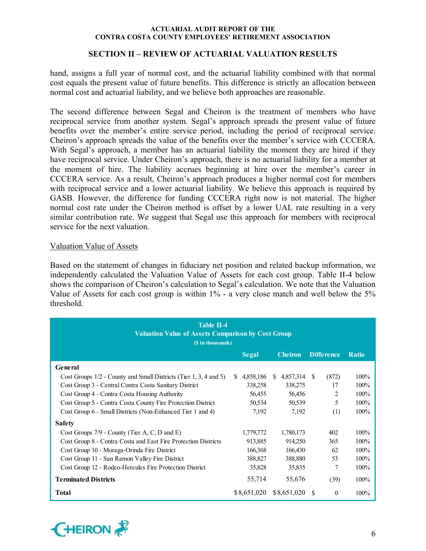### **SECTION II – REVIEW OF ACTUARIAL VALUATION RESULTS**

hand, assigns a full year of normal cost, and the actuarial liability combined with that normal cost equals the present value of future benefits. This difference is strictly an allocation between normal cost and actuarial liability, and we believe both approaches are reasonable.

The second difference between Segal and Cheiron is the treatment of members who have reciprocal service from another system. Segal's approach spreads the present value of future benefits over the member's entire service period, including the period of reciprocal service. Cheiron's approach spreads the value of the benefits over the member's service with CCCERA. With Segal's approach, a member has an actuarial liability the moment they are hired if they have reciprocal service. Under Cheiron's approach, there is no actuarial liability for a member at the moment of hire. The liability accrues beginning at hire over the member's career in CCCERA service. As a result, Cheiron's approach produces a higher normal cost for members with reciprocal service and a lower actuarial liability. We believe this approach is required by GASB. However, the difference for funding CCCERA right now is not material. The higher normal cost rate under the Cheiron method is offset by a lower UAL rate resulting in a very similar contribution rate. We suggest that Segal use this approach for members with reciprocal service for the next valuation.

#### Valuation Value of Assets

Based on the statement of changes in fiduciary net position and related backup information, we independently calculated the Valuation Value of Assets for each cost group. Table II-4 below shows the comparison of Cheiron's calculation to Segal's calculation. We note that the Valuation Value of Assets for each cost group is within 1% - a very close match and well below the 5% threshold.

| Table II-4<br><b>Valuation Value of Assets Comparison by Cost Group</b><br>(\$ in thousands) |   |              |               |                |     |                   |              |
|----------------------------------------------------------------------------------------------|---|--------------|---------------|----------------|-----|-------------------|--------------|
|                                                                                              |   | <b>Segal</b> |               | <b>Cheiron</b> |     | <b>Difference</b> | <b>Ratio</b> |
| General                                                                                      |   |              |               |                |     |                   |              |
| Cost Groups 1/2 - County and Small Districts (Tier 1, 3, 4 and 5)                            | S | 4,858,186    | <sup>\$</sup> | 4,857,314      | -S  | (872)             | 100%         |
| Cost Group 3 - Central Contra Costa Sanitary District                                        |   | 338,258      |               | 338,275        |     | 17                | 100%         |
| Cost Group 4 - Contra Costa Housing Authority                                                |   | 56,455       |               | 56,456         |     | 2                 | 100%         |
| Cost Group 5 - Contra Costa County Fire Protection District                                  |   | 50,534       |               | 50,539         |     | 5                 | 100%         |
| Cost Group 6 - Small Districts (Non-Enhanced Tier 1 and 4)                                   |   | 7,192        |               | 7,192          |     | (1)               | 100%         |
| <b>Safety</b>                                                                                |   |              |               |                |     |                   |              |
| Cost Groups $7/9$ - County (Tier A, C, D and E)                                              |   | 1,779,772    |               | 1,780,173      |     | 402               | 100%         |
| Cost Group 8 - Contra Costa and East Fire Protection Districts                               |   | 913,885      |               | 914,250        |     | 365               | 100%         |
| Cost Group 10 - Moraga-Orinda Fire District                                                  |   | 166,368      |               | 166,430        |     | 62                | 100%         |
| Cost Group 11 - San Ramon Valley Fire District                                               |   | 388,827      |               | 388,880        |     | 53                | 100%         |
| Cost Group 12 - Rodeo-Hercules Fire Protection District                                      |   | 35,828       |               | 35,835         |     | 7                 | 100%         |
| <b>Terminated Districts</b>                                                                  |   | 55,714       |               | 55,676         |     | (39)              | 100%         |
| <b>Total</b>                                                                                 |   | \$8,651,020  |               | \$8,651,020    | \$. | $\theta$          | 100%         |

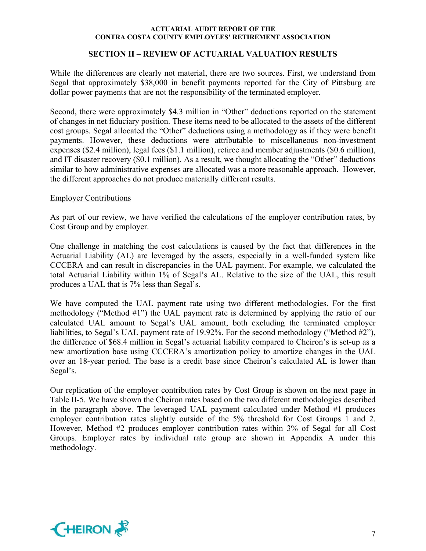### **SECTION II – REVIEW OF ACTUARIAL VALUATION RESULTS**

While the differences are clearly not material, there are two sources. First, we understand from Segal that approximately \$38,000 in benefit payments reported for the City of Pittsburg are dollar power payments that are not the responsibility of the terminated employer.

Second, there were approximately \$4.3 million in "Other" deductions reported on the statement of changes in net fiduciary position. These items need to be allocated to the assets of the different cost groups. Segal allocated the "Other" deductions using a methodology as if they were benefit payments. However, these deductions were attributable to miscellaneous non-investment expenses (\$2.4 million), legal fees (\$1.1 million), retiree and member adjustments (\$0.6 million), and IT disaster recovery (\$0.1 million). As a result, we thought allocating the "Other" deductions similar to how administrative expenses are allocated was a more reasonable approach. However, the different approaches do not produce materially different results.

#### Employer Contributions

As part of our review, we have verified the calculations of the employer contribution rates, by Cost Group and by employer.

One challenge in matching the cost calculations is caused by the fact that differences in the Actuarial Liability (AL) are leveraged by the assets, especially in a well-funded system like CCCERA and can result in discrepancies in the UAL payment. For example, we calculated the total Actuarial Liability within 1% of Segal's AL. Relative to the size of the UAL, this result produces a UAL that is 7% less than Segal's.

We have computed the UAL payment rate using two different methodologies. For the first methodology ("Method #1") the UAL payment rate is determined by applying the ratio of our calculated UAL amount to Segal's UAL amount, both excluding the terminated employer liabilities, to Segal's UAL payment rate of 19.92%. For the second methodology ("Method #2"), the difference of \$68.4 million in Segal's actuarial liability compared to Cheiron's is set-up as a new amortization base using CCCERA's amortization policy to amortize changes in the UAL over an 18-year period. The base is a credit base since Cheiron's calculated AL is lower than Segal's.

Our replication of the employer contribution rates by Cost Group is shown on the next page in Table II-5. We have shown the Cheiron rates based on the two different methodologies described in the paragraph above. The leveraged UAL payment calculated under Method #1 produces employer contribution rates slightly outside of the 5% threshold for Cost Groups 1 and 2. However, Method #2 produces employer contribution rates within 3% of Segal for all Cost Groups. Employer rates by individual rate group are shown in Appendix A under this methodology.

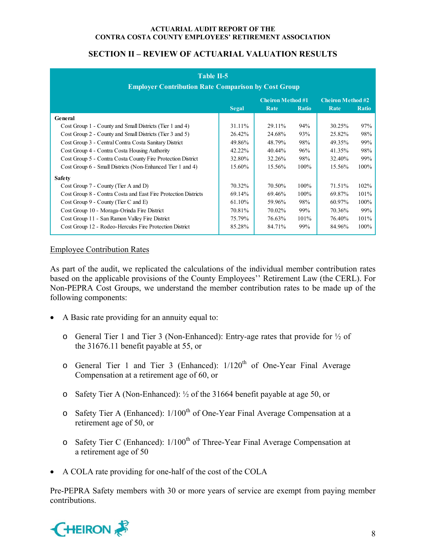### **SECTION II – REVIEW OF ACTUARIAL VALUATION RESULTS**

| Table II-5<br><b>Employer Contribution Rate Comparison by Cost Group</b> |                                                      |        |              |        |              |  |  |  |
|--------------------------------------------------------------------------|------------------------------------------------------|--------|--------------|--------|--------------|--|--|--|
|                                                                          | <b>Cheiron Method #1</b><br><b>Cheiron Method #2</b> |        |              |        |              |  |  |  |
|                                                                          | <b>Segal</b>                                         | Rate   | <b>Ratio</b> | Rate   | <b>Ratio</b> |  |  |  |
| General                                                                  |                                                      |        |              |        |              |  |  |  |
| Cost Group 1 - County and Small Districts (Tier 1 and 4)                 | 31.11%                                               | 29.11% | 94%          | 30.25% | 97%          |  |  |  |
| Cost Group 2 - County and Small Districts (Tier 3 and 5)                 | 26.42%                                               | 24.68% | 93%          | 25.82% | 98%          |  |  |  |
| Cost Group 3 - Central Contra Costa Sanitary District                    | 49.86%                                               | 48.79% | 98%          | 49.35% | 99%          |  |  |  |
| Cost Group 4 - Contra Costa Housing Authority                            | 42.22%                                               | 40.44% | 96%          | 41.35% | 98%          |  |  |  |
| Cost Group 5 - Contra Costa County Fire Protection District              | 32.80%                                               | 32.26% | 98%          | 32.40% | 99%          |  |  |  |
| Cost Group 6 - Small Districts (Non-Enhanced Tier 1 and 4)               | 15.60%                                               | 15.56% | 100%         | 15.56% | 100%         |  |  |  |
| <b>Safety</b>                                                            |                                                      |        |              |        |              |  |  |  |
| Cost Group 7 - County (Tier A and D)                                     | 70.32%                                               | 70.50% | 100%         | 71.51% | 102%         |  |  |  |
| Cost Group 8 - Contra Costa and East Fire Protection Districts           | 69.14%                                               | 69.46% | 100%         | 69.87% | 101%         |  |  |  |
| Cost Group 9 - County (Tier C and E)                                     | 61.10%                                               | 59.96% | 98%          | 60.97% | 100%         |  |  |  |
| Cost Group 10 - Moraga-Orinda Fire District                              | 70.81%                                               | 70.02% | 99%          | 70.36% | 99%          |  |  |  |
| Cost Group 11 - San Ramon Valley Fire District                           | 75.79%                                               | 76.63% | 101%         | 76.40% | 101%         |  |  |  |
| Cost Group 12 - Rodeo-Hercules Fire Protection District                  | 85.28%                                               | 84.71% | 99%          | 84.96% | 100%         |  |  |  |

### Employee Contribution Rates

As part of the audit, we replicated the calculations of the individual member contribution rates based on the applicable provisions of the County Employees'' Retirement Law (the CERL). For Non-PEPRA Cost Groups, we understand the member contribution rates to be made up of the following components:

- A Basic rate providing for an annuity equal to:
	- o General Tier 1 and Tier 3 (Non-Enhanced): Entry-age rates that provide for ½ of the 31676.11 benefit payable at 55, or
	- $\circ$  General Tier 1 and Tier 3 (Enhanced):  $1/120^{th}$  of One-Year Final Average Compensation at a retirement age of 60, or
	- o Safety Tier A (Non-Enhanced): ½ of the 31664 benefit payable at age 50, or
	- $\circ$  Safety Tier A (Enhanced): 1/100<sup>th</sup> of One-Year Final Average Compensation at a retirement age of 50, or
	- $\circ$  Safety Tier C (Enhanced): 1/100<sup>th</sup> of Three-Year Final Average Compensation at a retirement age of 50
- A COLA rate providing for one-half of the cost of the COLA

Pre-PEPRA Safety members with 30 or more years of service are exempt from paying member contributions.

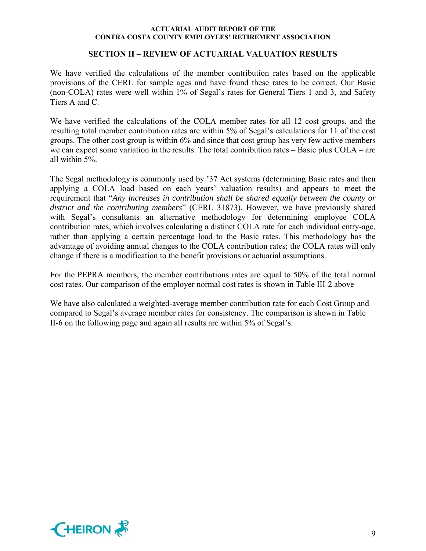#### **SECTION II – REVIEW OF ACTUARIAL VALUATION RESULTS**

We have verified the calculations of the member contribution rates based on the applicable provisions of the CERL for sample ages and have found these rates to be correct. Our Basic (non-COLA) rates were well within 1% of Segal's rates for General Tiers 1 and 3, and Safety Tiers A and C.

We have verified the calculations of the COLA member rates for all 12 cost groups, and the resulting total member contribution rates are within 5% of Segal's calculations for 11 of the cost groups. The other cost group is within 6% and since that cost group has very few active members we can expect some variation in the results. The total contribution rates – Basic plus COLA – are all within 5%.

The Segal methodology is commonly used by '37 Act systems (determining Basic rates and then applying a COLA load based on each years' valuation results) and appears to meet the requirement that "*Any increases in contribution shall be shared equally between the county or district and the contributing members*" (CERL 31873). However, we have previously shared with Segal's consultants an alternative methodology for determining employee COLA contribution rates, which involves calculating a distinct COLA rate for each individual entry-age, rather than applying a certain percentage load to the Basic rates. This methodology has the advantage of avoiding annual changes to the COLA contribution rates; the COLA rates will only change if there is a modification to the benefit provisions or actuarial assumptions.

For the PEPRA members, the member contributions rates are equal to 50% of the total normal cost rates. Our comparison of the employer normal cost rates is shown in Table III-2 above

We have also calculated a weighted-average member contribution rate for each Cost Group and compared to Segal's average member rates for consistency. The comparison is shown in Table II-6 on the following page and again all results are within 5% of Segal's.

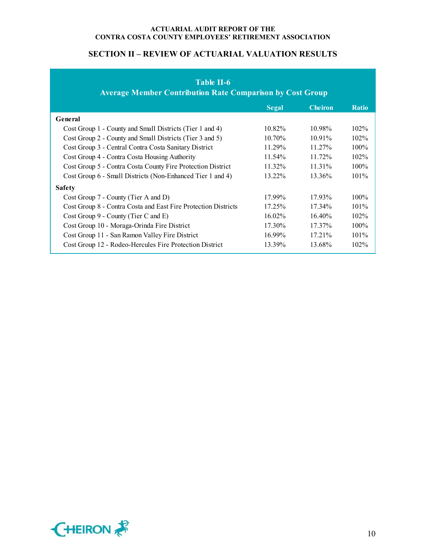#### **SECTION II – REVIEW OF ACTUARIAL VALUATION RESULTS**

| <b>Table II-6</b><br><b>Average Member Contribution Rate Comparison by Cost Group</b> |              |                |              |  |  |  |  |
|---------------------------------------------------------------------------------------|--------------|----------------|--------------|--|--|--|--|
|                                                                                       | <b>Segal</b> | <b>Cheiron</b> | <b>Ratio</b> |  |  |  |  |
| General                                                                               |              |                |              |  |  |  |  |
| Cost Group 1 - County and Small Districts (Tier 1 and 4)                              | 10.82%       | 10.98%         | $102\%$      |  |  |  |  |
| Cost Group 2 - County and Small Districts (Tier 3 and 5)                              | 10.70%       | 10.91%         | 102%         |  |  |  |  |
| Cost Group 3 - Central Contra Costa Sanitary District                                 | 11.29%       | $11.27\%$      | 100%         |  |  |  |  |
| Cost Group 4 - Contra Costa Housing Authority                                         | 11.54%       | 11.72%         | $102\%$      |  |  |  |  |
| Cost Group 5 - Contra Costa County Fire Protection District                           | 11.32%       | 11.31%         | 100%         |  |  |  |  |
| Cost Group 6 - Small Districts (Non-Enhanced Tier 1 and 4)                            | 13.22%       | 13.36%         | 101%         |  |  |  |  |
| <b>Safety</b>                                                                         |              |                |              |  |  |  |  |
| Cost Group 7 - County (Tier A and D)                                                  | 17.99%       | 17.93%         | 100%         |  |  |  |  |
| Cost Group 8 - Contra Costa and East Fire Protection Districts                        | 17.25%       | 17.34%         | $101\%$      |  |  |  |  |
| Cost Group $9$ - County (Tier C and E)                                                | 16.02%       | 16.40%         | 102%         |  |  |  |  |
| Cost Group 10 - Moraga-Orinda Fire District                                           | 17.30%       | 17.37%         | 100%         |  |  |  |  |
| Cost Group 11 - San Ramon Valley Fire District                                        | 16.99%       | 17.21%         | 101%         |  |  |  |  |
| Cost Group 12 - Rodeo-Hercules Fire Protection District                               | 13.39%       | 13.68%         | 102%         |  |  |  |  |

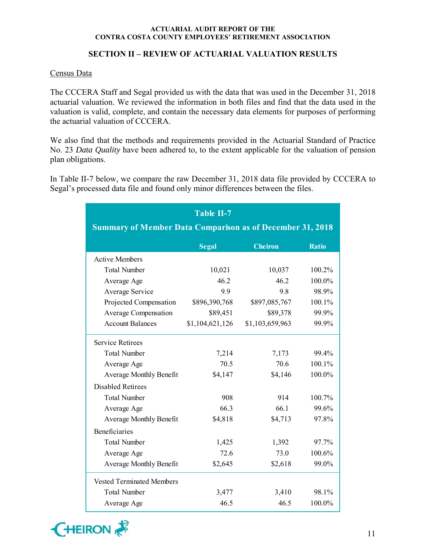### **SECTION II – REVIEW OF ACTUARIAL VALUATION RESULTS**

#### Census Data

The CCCERA Staff and Segal provided us with the data that was used in the December 31, 2018 actuarial valuation. We reviewed the information in both files and find that the data used in the valuation is valid, complete, and contain the necessary data elements for purposes of performing the actuarial valuation of CCCERA.

We also find that the methods and requirements provided in the Actuarial Standard of Practice No. 23 *Data Quality* have been adhered to, to the extent applicable for the valuation of pension plan obligations.

In Table II-7 below, we compare the raw December 31, 2018 data file provided by CCCERA to Segal's processed data file and found only minor differences between the files.

|                                                                  | <b>Table II-7</b> |                 |              |
|------------------------------------------------------------------|-------------------|-----------------|--------------|
| <b>Summary of Member Data Comparison as of December 31, 2018</b> |                   |                 |              |
|                                                                  | <b>Segal</b>      | <b>Cheiron</b>  | <b>Ratio</b> |
| <b>Active Members</b>                                            |                   |                 |              |
| <b>Total Number</b>                                              | 10,021            | 10,037          | 100.2%       |
| Average Age                                                      | 46.2              | 46.2            | 100.0%       |
| Average Service                                                  | 9.9               | 9.8             | 98.9%        |
| Projected Compensation                                           | \$896,390,768     | \$897,085,767   | 100.1%       |
| Average Compensation                                             | \$89,451          | \$89,378        | 99.9%        |
| <b>Account Balances</b>                                          | \$1,104,621,126   | \$1,103,659,963 | 99.9%        |
| <b>Service Retirees</b>                                          |                   |                 |              |
| <b>Total Number</b>                                              | 7,214             | 7,173           | 99.4%        |
| Average Age                                                      | 70.5              | 70.6            | 100.1%       |
| Average Monthly Benefit                                          | \$4,147           | \$4,146         | 100.0%       |
| <b>Disabled Retirees</b>                                         |                   |                 |              |
| <b>Total Number</b>                                              | 908               | 914             | 100.7%       |
| Average Age                                                      | 66.3              | 66.1            | 99.6%        |
| Average Monthly Benefit                                          | \$4,818           | \$4,713         | 97.8%        |
| <b>Beneficiaries</b>                                             |                   |                 |              |
| <b>Total Number</b>                                              | 1,425             | 1,392           | 97.7%        |
| Average Age                                                      | 72.6              | 73.0            | 100.6%       |
| Average Monthly Benefit                                          | \$2,645           | \$2,618         | 99.0%        |
| <b>Vested Terminated Members</b>                                 |                   |                 |              |
| <b>Total Number</b>                                              | 3,477             | 3,410           | 98.1%        |
| Average Age                                                      | 46.5              | 46.5            | 100.0%       |

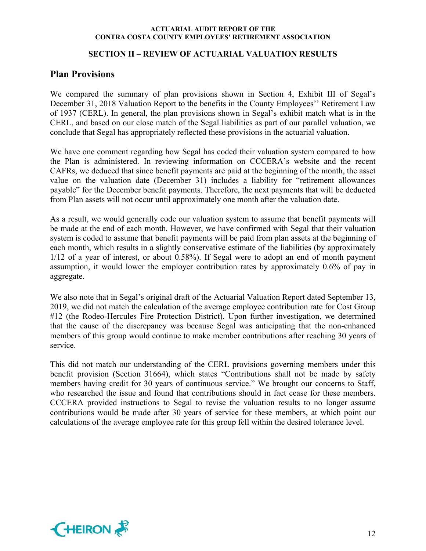### **SECTION II – REVIEW OF ACTUARIAL VALUATION RESULTS**

## **Plan Provisions**

We compared the summary of plan provisions shown in Section 4, Exhibit III of Segal's December 31, 2018 Valuation Report to the benefits in the County Employees'' Retirement Law of 1937 (CERL). In general, the plan provisions shown in Segal's exhibit match what is in the CERL, and based on our close match of the Segal liabilities as part of our parallel valuation, we conclude that Segal has appropriately reflected these provisions in the actuarial valuation.

We have one comment regarding how Segal has coded their valuation system compared to how the Plan is administered. In reviewing information on CCCERA's website and the recent CAFRs, we deduced that since benefit payments are paid at the beginning of the month, the asset value on the valuation date (December 31) includes a liability for "retirement allowances payable" for the December benefit payments. Therefore, the next payments that will be deducted from Plan assets will not occur until approximately one month after the valuation date.

As a result, we would generally code our valuation system to assume that benefit payments will be made at the end of each month. However, we have confirmed with Segal that their valuation system is coded to assume that benefit payments will be paid from plan assets at the beginning of each month, which results in a slightly conservative estimate of the liabilities (by approximately 1/12 of a year of interest, or about 0.58%). If Segal were to adopt an end of month payment assumption, it would lower the employer contribution rates by approximately 0.6% of pay in aggregate.

We also note that in Segal's original draft of the Actuarial Valuation Report dated September 13, 2019, we did not match the calculation of the average employee contribution rate for Cost Group #12 (the Rodeo-Hercules Fire Protection District). Upon further investigation, we determined that the cause of the discrepancy was because Segal was anticipating that the non-enhanced members of this group would continue to make member contributions after reaching 30 years of service.

This did not match our understanding of the CERL provisions governing members under this benefit provision (Section 31664), which states "Contributions shall not be made by safety members having credit for 30 years of continuous service." We brought our concerns to Staff, who researched the issue and found that contributions should in fact cease for these members. CCCERA provided instructions to Segal to revise the valuation results to no longer assume contributions would be made after 30 years of service for these members, at which point our calculations of the average employee rate for this group fell within the desired tolerance level.

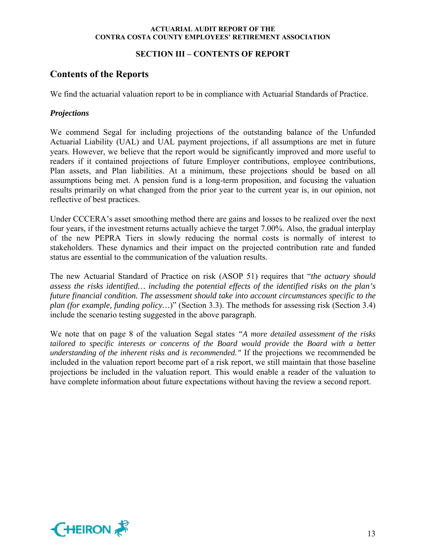### **SECTION III – CONTENTS OF REPORT**

## **Contents of the Reports**

We find the actuarial valuation report to be in compliance with Actuarial Standards of Practice.

### *Projections*

We commend Segal for including projections of the outstanding balance of the Unfunded Actuarial Liability (UAL) and UAL payment projections, if all assumptions are met in future years. However, we believe that the report would be significantly improved and more useful to readers if it contained projections of future Employer contributions, employee contributions, Plan assets, and Plan liabilities. At a minimum, these projections should be based on all assumptions being met. A pension fund is a long-term proposition, and focusing the valuation results primarily on what changed from the prior year to the current year is, in our opinion, not reflective of best practices.

Under CCCERA's asset smoothing method there are gains and losses to be realized over the next four years, if the investment returns actually achieve the target 7.00%. Also, the gradual interplay of the new PEPRA Tiers in slowly reducing the normal costs is normally of interest to stakeholders. These dynamics and their impact on the projected contribution rate and funded status are essential to the communication of the valuation results.

The new Actuarial Standard of Practice on risk (ASOP 51) requires that "*the actuary should assess the risks identified… including the potential effects of the identified risks on the plan's future financial condition. The assessment should take into account circumstances specific to the plan (for example, funding policy…*)" (Section 3.3). The methods for assessing risk (Section 3.4) include the scenario testing suggested in the above paragraph.

We note that on page 8 of the valuation Segal states *"A more detailed assessment of the risks tailored to specific interests or concerns of the Board would provide the Board with a better understanding of the inherent risks and is recommended."* If the projections we recommended be included in the valuation report become part of a risk report, we still maintain that those baseline projections be included in the valuation report. This would enable a reader of the valuation to have complete information about future expectations without having the review a second report.

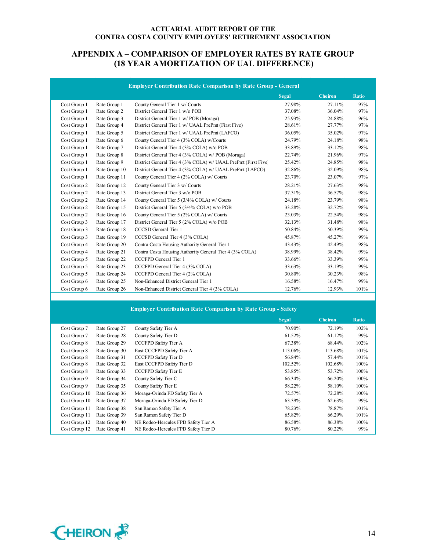### **APPENDIX A – COMPARISON OF EMPLOYER RATES BY RATE GROUP (18 YEAR AMORTIZATION OF UAL DIFFERENCE)**

| <b>Employer Contribution Rate Comparison by Rate Group - General</b> |               |                                                               |              |                |              |
|----------------------------------------------------------------------|---------------|---------------------------------------------------------------|--------------|----------------|--------------|
|                                                                      |               |                                                               | <b>Segal</b> | <b>Cheiron</b> | <b>Ratio</b> |
| Cost Group 1                                                         | Rate Group 1  | County General Tier 1 w/ Courts                               | 27.98%       | 27.11%         | 97%          |
| Cost Group 1                                                         | Rate Group 2  | District General Tier 1 w/o POB                               | 37.08%       | 36.04%         | 97%          |
| Cost Group 1                                                         | Rate Group 3  | District General Tier 1 w/ POB (Moraga)                       | 25.93%       | 24.88%         | 96%          |
| Cost Group 1                                                         | Rate Group 4  | District General Tier 1 w/ UAAL PrePmt (First Five)           | 28.61%       | 27.77%         | 97%          |
| Cost Group 1                                                         | Rate Group 5  | District General Tier 1 w/ UAAL PrePmt (LAFCO)                | 36.05%       | 35.02%         | 97%          |
| Cost Group 1                                                         | Rate Group 6  | County General Tier 4 (3% COLA) w/Courts                      | 24.79%       | 24.18%         | 98%          |
| Cost Group 1                                                         | Rate Group 7  | District General Tier 4 (3% COLA) w/o POB                     | 33.89%       | 33.12%         | 98%          |
| Cost Group 1                                                         | Rate Group 8  | District General Tier 4 (3% COLA) w/ POB (Moraga)             | 22.74%       | 21.96%         | 97%          |
| Cost Group 1                                                         | Rate Group 9  | District General Tier 4 (3% COLA) w/ UAAL PrePmt (First Five) | 25.42%       | 24.85%         | 98%          |
| Cost Group 1                                                         | Rate Group 10 | District General Tier 4 (3% COLA) w/ UAAL PrePmt (LAFCO)      | 32.86%       | 32.09%         | 98%          |
| Cost Group 1                                                         | Rate Group 11 | County General Tier 4 (2% COLA) w/ Courts                     | 23.70%       | 23.07%         | 97%          |
| Cost Group 2                                                         | Rate Group 12 | County General Tier 3 w/ Courts                               | 28.21%       | 27.63%         | 98%          |
| Cost Group 2                                                         | Rate Group 13 | District General Tier 3 w/o POB                               | 37.31%       | 36.57%         | 98%          |
| Cost Group 2                                                         | Rate Group 14 | County General Tier 5 (3/4% COLA) w/ Courts                   | 24.18%       | 23.79%         | 98%          |
| Cost Group 2                                                         | Rate Group 15 | District General Tier 5 (3/4% COLA) w/o POB                   | 33.28%       | 32.72%         | 98%          |
| Cost Group 2                                                         | Rate Group 16 | County General Tier 5 (2% COLA) w/ Courts                     | 23.03%       | 22.54%         | 98%          |
| Cost Group 3                                                         | Rate Group 17 | District General Tier 5 (2% COLA) w/o POB                     | 32.13%       | 31.48%         | 98%          |
| Cost Group 3                                                         | Rate Group 18 | CCCSD General Tier 1                                          | 50.84%       | 50.39%         | 99%          |
| Cost Group 3                                                         | Rate Group 19 | CCCSD General Tier 4 (3% COLA)                                | 45.87%       | 45.27%         | 99%          |
| Cost Group 4                                                         | Rate Group 20 | Contra Costa Housing Authority General Tier 1                 | 43.43%       | 42.49%         | 98%          |
| Cost Group 4                                                         | Rate Group 21 | Contra Costa Housing Authority General Tier 4 (3% COLA)       | 38.99%       | 38.42%         | 99%          |
| Cost Group 5                                                         | Rate Group 22 | CCCFPD General Tier 1                                         | 33.66%       | 33.39%         | 99%          |
| Cost Group 5                                                         | Rate Group 23 | CCCFPD General Tier 4 (3% COLA)                               | 33.63%       | 33.19%         | 99%          |
| Cost Group 5                                                         | Rate Group 24 | CCCFPD General Tier 4 (2% COLA)                               | 30.80%       | 30.23%         | 98%          |
| Cost Group 6                                                         | Rate Group 25 | Non-Enhanced District General Tier 1                          | 16.58%       | 16.47%         | 99%          |
| Cost Group 6                                                         | Rate Group 26 | Non-Enhanced District General Tier 4 (3% COLA)                | 12.76%       | 12.93%         | 101%         |

 **Employer Contribution Rate Comparison by Rate Group - Safety**

|               |               |                                     | <b>Segal</b> | <b>Cheiron</b> | <b>Ratio</b> |
|---------------|---------------|-------------------------------------|--------------|----------------|--------------|
| Cost Group 7  | Rate Group 27 | County Safety Tier A                | 70.90%       | 72.19%         | 102%         |
| Cost Group 7  | Rate Group 28 | County Safety Tier D                | 61.52%       | 61.12%         | 99%          |
| Cost Group 8  | Rate Group 29 | CCCFPD Safety Tier A                | 67.38%       | 68.44%         | 102%         |
| Cost Group 8  | Rate Group 30 | East CCCFPD Safety Tier A           | 113.06%      | 113.68%        | 101%         |
| Cost Group 8  | Rate Group 31 | CCCFPD Safety Tier D                | 56.84%       | 57.44%         | 101%         |
| Cost Group 8  | Rate Group 32 | East CCCFPD Safety Tier D           | 102.52%      | 102.68%        | 100%         |
| Cost Group 8  | Rate Group 33 | CCCFPD Safety Tier E                | 53.85%       | 53.72%         | 100%         |
| Cost Group 9  | Rate Group 34 | County Safety Tier C                | 66.34%       | 66.20%         | 100%         |
| Cost Group 9  | Rate Group 35 | County Safety Tier E                | 58.22%       | 58.10%         | 100%         |
| Cost Group 10 | Rate Group 36 | Moraga-Orinda FD Safety Tier A      | 72.57%       | 72.28%         | 100%         |
| Cost Group 10 | Rate Group 37 | Moraga-Orinda FD Safety Tier D      | 63.39%       | 62.63%         | 99%          |
| Cost Group 11 | Rate Group 38 | San Ramon Safety Tier A             | 78.23%       | 78.87%         | 101%         |
| Cost Group 11 | Rate Group 39 | San Ramon Safety Tier D             | 65.82%       | 66.29%         | 101%         |
| Cost Group 12 | Rate Group 40 | NE Rodeo-Hercules FPD Safety Tier A | 86.58%       | 86.38%         | 100%         |
| Cost Group 12 | Rate Group 41 | NE Rodeo-Hercules FPD Safety Tier D | 80.76%       | 80.22%         | 99%          |

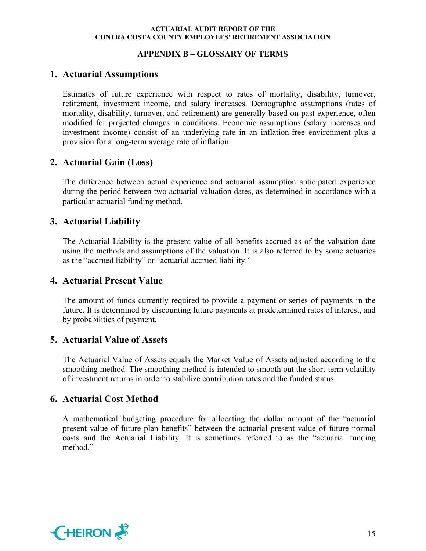### **APPENDIX B – GLOSSARY OF TERMS**

## **1. Actuarial Assumptions**

Estimates of future experience with respect to rates of mortality, disability, turnover, retirement, investment income, and salary increases. Demographic assumptions (rates of mortality, disability, turnover, and retirement) are generally based on past experience, often modified for projected changes in conditions. Economic assumptions (salary increases and investment income) consist of an underlying rate in an inflation-free environment plus a provision for a long-term average rate of inflation.

## **2. Actuarial Gain (Loss)**

The difference between actual experience and actuarial assumption anticipated experience during the period between two actuarial valuation dates, as determined in accordance with a particular actuarial funding method.

## **3. Actuarial Liability**

The Actuarial Liability is the present value of all benefits accrued as of the valuation date using the methods and assumptions of the valuation. It is also referred to by some actuaries as the "accrued liability" or "actuarial accrued liability."

## **4. Actuarial Present Value**

The amount of funds currently required to provide a payment or series of payments in the future. It is determined by discounting future payments at predetermined rates of interest, and by probabilities of payment.

## **5. Actuarial Value of Assets**

The Actuarial Value of Assets equals the Market Value of Assets adjusted according to the smoothing method. The smoothing method is intended to smooth out the short-term volatility of investment returns in order to stabilize contribution rates and the funded status.

## **6. Actuarial Cost Method**

A mathematical budgeting procedure for allocating the dollar amount of the "actuarial present value of future plan benefits" between the actuarial present value of future normal costs and the Actuarial Liability. It is sometimes referred to as the "actuarial funding method."

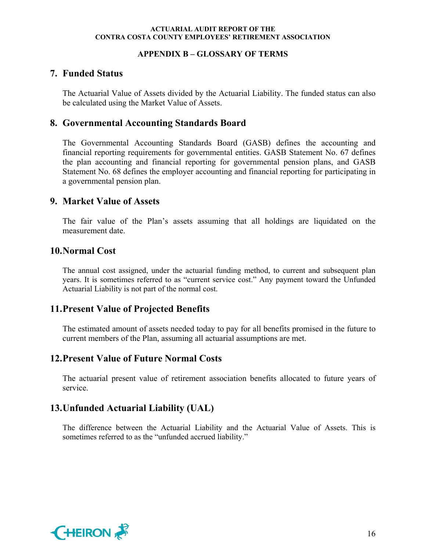### **APPENDIX B – GLOSSARY OF TERMS**

## **7. Funded Status**

The Actuarial Value of Assets divided by the Actuarial Liability. The funded status can also be calculated using the Market Value of Assets.

### **8. Governmental Accounting Standards Board**

The Governmental Accounting Standards Board (GASB) defines the accounting and financial reporting requirements for governmental entities. GASB Statement No. 67 defines the plan accounting and financial reporting for governmental pension plans, and GASB Statement No. 68 defines the employer accounting and financial reporting for participating in a governmental pension plan.

## **9. Market Value of Assets**

The fair value of the Plan's assets assuming that all holdings are liquidated on the measurement date.

## **10.Normal Cost**

The annual cost assigned, under the actuarial funding method, to current and subsequent plan years. It is sometimes referred to as "current service cost." Any payment toward the Unfunded Actuarial Liability is not part of the normal cost.

## **11.Present Value of Projected Benefits**

The estimated amount of assets needed today to pay for all benefits promised in the future to current members of the Plan, assuming all actuarial assumptions are met.

## **12.Present Value of Future Normal Costs**

The actuarial present value of retirement association benefits allocated to future years of service.

## **13.Unfunded Actuarial Liability (UAL)**

The difference between the Actuarial Liability and the Actuarial Value of Assets. This is sometimes referred to as the "unfunded accrued liability."